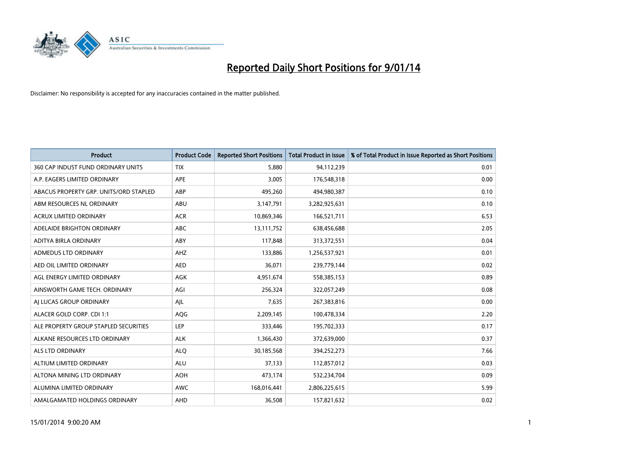

| <b>Product</b>                         | <b>Product Code</b> | <b>Reported Short Positions</b> | <b>Total Product in Issue</b> | % of Total Product in Issue Reported as Short Positions |
|----------------------------------------|---------------------|---------------------------------|-------------------------------|---------------------------------------------------------|
| 360 CAP INDUST FUND ORDINARY UNITS     | <b>TIX</b>          | 5,880                           | 94,112,239                    | 0.01                                                    |
| A.P. EAGERS LIMITED ORDINARY           | APE                 | 3,005                           | 176,548,318                   | 0.00                                                    |
| ABACUS PROPERTY GRP. UNITS/ORD STAPLED | ABP                 | 495,260                         | 494,980,387                   | 0.10                                                    |
| ABM RESOURCES NL ORDINARY              | ABU                 | 3,147,791                       | 3,282,925,631                 | 0.10                                                    |
| <b>ACRUX LIMITED ORDINARY</b>          | <b>ACR</b>          | 10,869,346                      | 166,521,711                   | 6.53                                                    |
| ADELAIDE BRIGHTON ORDINARY             | <b>ABC</b>          | 13,111,752                      | 638,456,688                   | 2.05                                                    |
| ADITYA BIRLA ORDINARY                  | ABY                 | 117,848                         | 313,372,551                   | 0.04                                                    |
| ADMEDUS LTD ORDINARY                   | AHZ                 | 133,886                         | 1,256,537,921                 | 0.01                                                    |
| AED OIL LIMITED ORDINARY               | <b>AED</b>          | 36,071                          | 239,779,144                   | 0.02                                                    |
| AGL ENERGY LIMITED ORDINARY            | <b>AGK</b>          | 4,951,674                       | 558,385,153                   | 0.89                                                    |
| AINSWORTH GAME TECH. ORDINARY          | AGI                 | 256,324                         | 322,057,249                   | 0.08                                                    |
| AI LUCAS GROUP ORDINARY                | AJL                 | 7,635                           | 267,383,816                   | 0.00                                                    |
| ALACER GOLD CORP. CDI 1:1              | AQG                 | 2,209,145                       | 100,478,334                   | 2.20                                                    |
| ALE PROPERTY GROUP STAPLED SECURITIES  | LEP                 | 333,446                         | 195,702,333                   | 0.17                                                    |
| ALKANE RESOURCES LTD ORDINARY          | <b>ALK</b>          | 1,366,430                       | 372,639,000                   | 0.37                                                    |
| ALS LTD ORDINARY                       | <b>ALQ</b>          | 30,185,568                      | 394,252,273                   | 7.66                                                    |
| ALTIUM LIMITED ORDINARY                | <b>ALU</b>          | 37,133                          | 112,857,012                   | 0.03                                                    |
| ALTONA MINING LTD ORDINARY             | <b>AOH</b>          | 473,174                         | 532,234,704                   | 0.09                                                    |
| ALUMINA LIMITED ORDINARY               | <b>AWC</b>          | 168,016,441                     | 2,806,225,615                 | 5.99                                                    |
| AMALGAMATED HOLDINGS ORDINARY          | AHD                 | 36,508                          | 157,821,632                   | 0.02                                                    |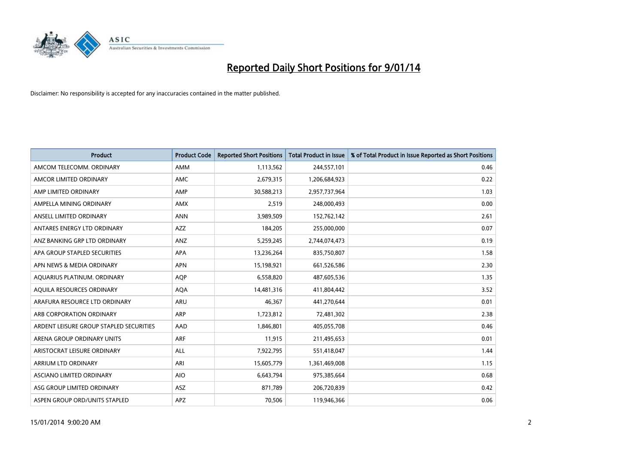

| <b>Product</b>                          | <b>Product Code</b> | <b>Reported Short Positions</b> | <b>Total Product in Issue</b> | % of Total Product in Issue Reported as Short Positions |
|-----------------------------------------|---------------------|---------------------------------|-------------------------------|---------------------------------------------------------|
| AMCOM TELECOMM, ORDINARY                | <b>AMM</b>          | 1,113,562                       | 244,557,101                   | 0.46                                                    |
| AMCOR LIMITED ORDINARY                  | AMC                 | 2,679,315                       | 1,206,684,923                 | 0.22                                                    |
| AMP LIMITED ORDINARY                    | AMP                 | 30,588,213                      | 2,957,737,964                 | 1.03                                                    |
| AMPELLA MINING ORDINARY                 | <b>AMX</b>          | 2,519                           | 248,000,493                   | 0.00                                                    |
| ANSELL LIMITED ORDINARY                 | <b>ANN</b>          | 3,989,509                       | 152,762,142                   | 2.61                                                    |
| ANTARES ENERGY LTD ORDINARY             | AZZ                 | 184,205                         | 255,000,000                   | 0.07                                                    |
| ANZ BANKING GRP LTD ORDINARY            | <b>ANZ</b>          | 5,259,245                       | 2,744,074,473                 | 0.19                                                    |
| APA GROUP STAPLED SECURITIES            | APA                 | 13,236,264                      | 835,750,807                   | 1.58                                                    |
| APN NEWS & MEDIA ORDINARY               | <b>APN</b>          | 15,198,921                      | 661,526,586                   | 2.30                                                    |
| AQUARIUS PLATINUM. ORDINARY             | <b>AOP</b>          | 6,558,820                       | 487,605,536                   | 1.35                                                    |
| AQUILA RESOURCES ORDINARY               | <b>AQA</b>          | 14,481,316                      | 411,804,442                   | 3.52                                                    |
| ARAFURA RESOURCE LTD ORDINARY           | ARU                 | 46,367                          | 441,270,644                   | 0.01                                                    |
| ARB CORPORATION ORDINARY                | <b>ARP</b>          | 1,723,812                       | 72,481,302                    | 2.38                                                    |
| ARDENT LEISURE GROUP STAPLED SECURITIES | AAD                 | 1,846,801                       | 405,055,708                   | 0.46                                                    |
| ARENA GROUP ORDINARY UNITS              | <b>ARF</b>          | 11,915                          | 211,495,653                   | 0.01                                                    |
| ARISTOCRAT LEISURE ORDINARY             | ALL                 | 7,922,795                       | 551,418,047                   | 1.44                                                    |
| ARRIUM LTD ORDINARY                     | ARI                 | 15,605,779                      | 1,361,469,008                 | 1.15                                                    |
| ASCIANO LIMITED ORDINARY                | <b>AIO</b>          | 6,643,794                       | 975,385,664                   | 0.68                                                    |
| ASG GROUP LIMITED ORDINARY              | <b>ASZ</b>          | 871,789                         | 206,720,839                   | 0.42                                                    |
| ASPEN GROUP ORD/UNITS STAPLED           | APZ                 | 70,506                          | 119,946,366                   | 0.06                                                    |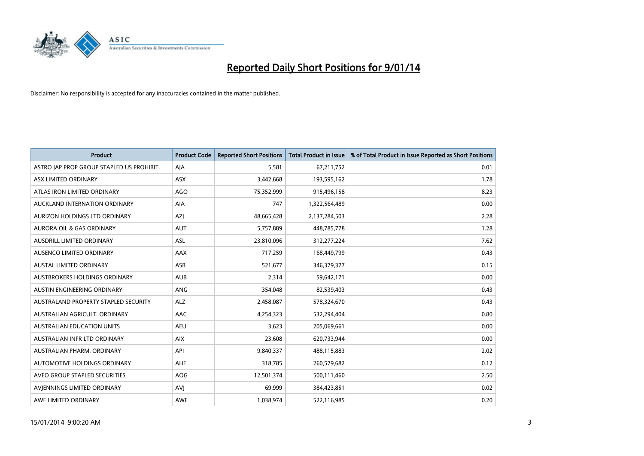

| <b>Product</b>                            | <b>Product Code</b> | <b>Reported Short Positions</b> | <b>Total Product in Issue</b> | % of Total Product in Issue Reported as Short Positions |
|-------------------------------------------|---------------------|---------------------------------|-------------------------------|---------------------------------------------------------|
| ASTRO JAP PROP GROUP STAPLED US PROHIBIT. | AJA                 | 5,581                           | 67,211,752                    | 0.01                                                    |
| ASX LIMITED ORDINARY                      | ASX                 | 3,442,668                       | 193,595,162                   | 1.78                                                    |
| ATLAS IRON LIMITED ORDINARY               | <b>AGO</b>          | 75,352,999                      | 915,496,158                   | 8.23                                                    |
| AUCKLAND INTERNATION ORDINARY             | <b>AIA</b>          | 747                             | 1,322,564,489                 | 0.00                                                    |
| AURIZON HOLDINGS LTD ORDINARY             | AZJ                 | 48,665,428                      | 2,137,284,503                 | 2.28                                                    |
| <b>AURORA OIL &amp; GAS ORDINARY</b>      | <b>AUT</b>          | 5,757,889                       | 448,785,778                   | 1.28                                                    |
| AUSDRILL LIMITED ORDINARY                 | ASL                 | 23,810,096                      | 312,277,224                   | 7.62                                                    |
| AUSENCO LIMITED ORDINARY                  | AAX                 | 717,259                         | 168,449,799                   | 0.43                                                    |
| <b>AUSTAL LIMITED ORDINARY</b>            | ASB                 | 521,677                         | 346, 379, 377                 | 0.15                                                    |
| <b>AUSTBROKERS HOLDINGS ORDINARY</b>      | <b>AUB</b>          | 2,314                           | 59,642,171                    | 0.00                                                    |
| AUSTIN ENGINEERING ORDINARY               | ANG                 | 354,048                         | 82,539,403                    | 0.43                                                    |
| AUSTRALAND PROPERTY STAPLED SECURITY      | <b>ALZ</b>          | 2,458,087                       | 578,324,670                   | 0.43                                                    |
| AUSTRALIAN AGRICULT, ORDINARY             | AAC                 | 4,254,323                       | 532,294,404                   | 0.80                                                    |
| <b>AUSTRALIAN EDUCATION UNITS</b>         | <b>AEU</b>          | 3,623                           | 205,069,661                   | 0.00                                                    |
| AUSTRALIAN INFR LTD ORDINARY              | <b>AIX</b>          | 23,608                          | 620,733,944                   | 0.00                                                    |
| AUSTRALIAN PHARM. ORDINARY                | API                 | 9,840,337                       | 488,115,883                   | 2.02                                                    |
| AUTOMOTIVE HOLDINGS ORDINARY              | AHE                 | 318,785                         | 260,579,682                   | 0.12                                                    |
| AVEO GROUP STAPLED SECURITIES             | <b>AOG</b>          | 12,501,374                      | 500,111,460                   | 2.50                                                    |
| AVIENNINGS LIMITED ORDINARY               | <b>AVI</b>          | 69,999                          | 384,423,851                   | 0.02                                                    |
| AWE LIMITED ORDINARY                      | AWE                 | 1,038,974                       | 522,116,985                   | 0.20                                                    |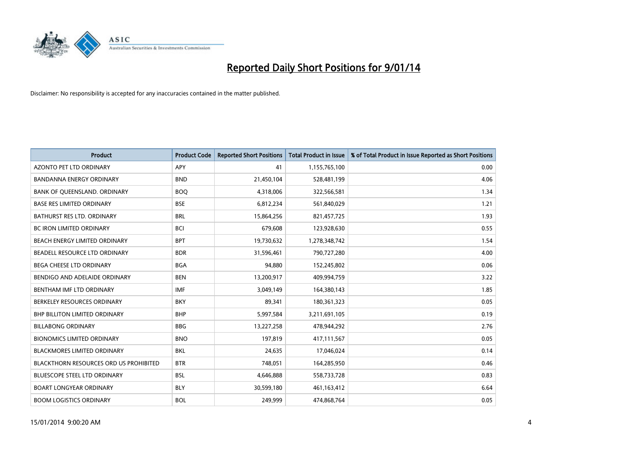

| <b>Product</b>                         | <b>Product Code</b> | <b>Reported Short Positions</b> | <b>Total Product in Issue</b> | % of Total Product in Issue Reported as Short Positions |
|----------------------------------------|---------------------|---------------------------------|-------------------------------|---------------------------------------------------------|
| <b>AZONTO PET LTD ORDINARY</b>         | APY                 | 41                              | 1,155,765,100                 | 0.00                                                    |
| BANDANNA ENERGY ORDINARY               | <b>BND</b>          | 21,450,104                      | 528,481,199                   | 4.06                                                    |
| BANK OF QUEENSLAND. ORDINARY           | <b>BOQ</b>          | 4,318,006                       | 322,566,581                   | 1.34                                                    |
| <b>BASE RES LIMITED ORDINARY</b>       | <b>BSE</b>          | 6,812,234                       | 561,840,029                   | 1.21                                                    |
| <b>BATHURST RES LTD. ORDINARY</b>      | <b>BRL</b>          | 15,864,256                      | 821,457,725                   | 1.93                                                    |
| <b>BC IRON LIMITED ORDINARY</b>        | <b>BCI</b>          | 679,608                         | 123,928,630                   | 0.55                                                    |
| <b>BEACH ENERGY LIMITED ORDINARY</b>   | <b>BPT</b>          | 19,730,632                      | 1,278,348,742                 | 1.54                                                    |
| BEADELL RESOURCE LTD ORDINARY          | <b>BDR</b>          | 31,596,461                      | 790,727,280                   | 4.00                                                    |
| <b>BEGA CHEESE LTD ORDINARY</b>        | <b>BGA</b>          | 94,880                          | 152,245,802                   | 0.06                                                    |
| BENDIGO AND ADELAIDE ORDINARY          | <b>BEN</b>          | 13,200,917                      | 409,994,759                   | 3.22                                                    |
| BENTHAM IMF LTD ORDINARY               | <b>IMF</b>          | 3,049,149                       | 164,380,143                   | 1.85                                                    |
| BERKELEY RESOURCES ORDINARY            | <b>BKY</b>          | 89,341                          | 180,361,323                   | 0.05                                                    |
| <b>BHP BILLITON LIMITED ORDINARY</b>   | <b>BHP</b>          | 5,997,584                       | 3,211,691,105                 | 0.19                                                    |
| <b>BILLABONG ORDINARY</b>              | <b>BBG</b>          | 13,227,258                      | 478,944,292                   | 2.76                                                    |
| <b>BIONOMICS LIMITED ORDINARY</b>      | <b>BNO</b>          | 197,819                         | 417,111,567                   | 0.05                                                    |
| BLACKMORES LIMITED ORDINARY            | <b>BKL</b>          | 24,635                          | 17,046,024                    | 0.14                                                    |
| BLACKTHORN RESOURCES ORD US PROHIBITED | <b>BTR</b>          | 748,051                         | 164,285,950                   | 0.46                                                    |
| BLUESCOPE STEEL LTD ORDINARY           | <b>BSL</b>          | 4,646,888                       | 558,733,728                   | 0.83                                                    |
| <b>BOART LONGYEAR ORDINARY</b>         | <b>BLY</b>          | 30,599,180                      | 461,163,412                   | 6.64                                                    |
| <b>BOOM LOGISTICS ORDINARY</b>         | <b>BOL</b>          | 249,999                         | 474,868,764                   | 0.05                                                    |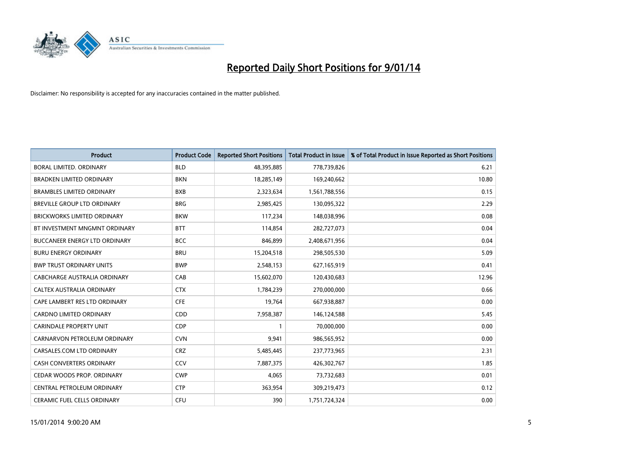

| <b>Product</b>                       | <b>Product Code</b> | <b>Reported Short Positions</b> | <b>Total Product in Issue</b> | % of Total Product in Issue Reported as Short Positions |
|--------------------------------------|---------------------|---------------------------------|-------------------------------|---------------------------------------------------------|
| <b>BORAL LIMITED, ORDINARY</b>       | <b>BLD</b>          | 48,395,885                      | 778,739,826                   | 6.21                                                    |
| <b>BRADKEN LIMITED ORDINARY</b>      | <b>BKN</b>          | 18,285,149                      | 169,240,662                   | 10.80                                                   |
| <b>BRAMBLES LIMITED ORDINARY</b>     | <b>BXB</b>          | 2,323,634                       | 1,561,788,556                 | 0.15                                                    |
| BREVILLE GROUP LTD ORDINARY          | <b>BRG</b>          | 2,985,425                       | 130,095,322                   | 2.29                                                    |
| <b>BRICKWORKS LIMITED ORDINARY</b>   | <b>BKW</b>          | 117,234                         | 148,038,996                   | 0.08                                                    |
| BT INVESTMENT MNGMNT ORDINARY        | <b>BTT</b>          | 114,854                         | 282,727,073                   | 0.04                                                    |
| <b>BUCCANEER ENERGY LTD ORDINARY</b> | <b>BCC</b>          | 846,899                         | 2,408,671,956                 | 0.04                                                    |
| <b>BURU ENERGY ORDINARY</b>          | <b>BRU</b>          | 15,204,518                      | 298,505,530                   | 5.09                                                    |
| <b>BWP TRUST ORDINARY UNITS</b>      | <b>BWP</b>          | 2,548,153                       | 627,165,919                   | 0.41                                                    |
| CABCHARGE AUSTRALIA ORDINARY         | CAB                 | 15,602,070                      | 120,430,683                   | 12.96                                                   |
| CALTEX AUSTRALIA ORDINARY            | <b>CTX</b>          | 1,784,239                       | 270,000,000                   | 0.66                                                    |
| CAPE LAMBERT RES LTD ORDINARY        | <b>CFE</b>          | 19,764                          | 667,938,887                   | 0.00                                                    |
| CARDNO LIMITED ORDINARY              | CDD                 | 7,958,387                       | 146,124,588                   | 5.45                                                    |
| <b>CARINDALE PROPERTY UNIT</b>       | <b>CDP</b>          | $\mathbf{1}$                    | 70,000,000                    | 0.00                                                    |
| CARNARVON PETROLEUM ORDINARY         | <b>CVN</b>          | 9,941                           | 986,565,952                   | 0.00                                                    |
| CARSALES.COM LTD ORDINARY            | <b>CRZ</b>          | 5,485,445                       | 237,773,965                   | 2.31                                                    |
| CASH CONVERTERS ORDINARY             | <b>CCV</b>          | 7,887,375                       | 426,302,767                   | 1.85                                                    |
| CEDAR WOODS PROP. ORDINARY           | <b>CWP</b>          | 4,065                           | 73,732,683                    | 0.01                                                    |
| CENTRAL PETROLEUM ORDINARY           | <b>CTP</b>          | 363,954                         | 309,219,473                   | 0.12                                                    |
| CERAMIC FUEL CELLS ORDINARY          | <b>CFU</b>          | 390                             | 1,751,724,324                 | 0.00                                                    |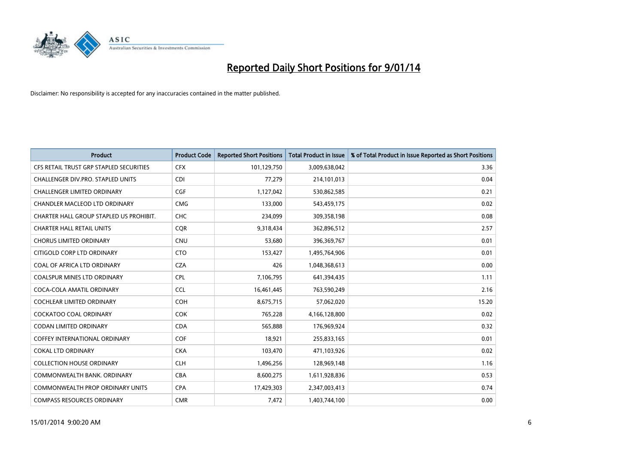

| <b>Product</b>                          | <b>Product Code</b> | <b>Reported Short Positions</b> | <b>Total Product in Issue</b> | % of Total Product in Issue Reported as Short Positions |
|-----------------------------------------|---------------------|---------------------------------|-------------------------------|---------------------------------------------------------|
| CFS RETAIL TRUST GRP STAPLED SECURITIES | <b>CFX</b>          | 101,129,750                     | 3,009,638,042                 | 3.36                                                    |
| CHALLENGER DIV.PRO. STAPLED UNITS       | <b>CDI</b>          | 77,279                          | 214,101,013                   | 0.04                                                    |
| <b>CHALLENGER LIMITED ORDINARY</b>      | <b>CGF</b>          | 1,127,042                       | 530,862,585                   | 0.21                                                    |
| CHANDLER MACLEOD LTD ORDINARY           | <b>CMG</b>          | 133,000                         | 543,459,175                   | 0.02                                                    |
| CHARTER HALL GROUP STAPLED US PROHIBIT. | <b>CHC</b>          | 234,099                         | 309,358,198                   | 0.08                                                    |
| <b>CHARTER HALL RETAIL UNITS</b>        | CQR                 | 9,318,434                       | 362,896,512                   | 2.57                                                    |
| <b>CHORUS LIMITED ORDINARY</b>          | CNU                 | 53,680                          | 396,369,767                   | 0.01                                                    |
| CITIGOLD CORP LTD ORDINARY              | <b>CTO</b>          | 153,427                         | 1,495,764,906                 | 0.01                                                    |
| COAL OF AFRICA LTD ORDINARY             | <b>CZA</b>          | 426                             | 1,048,368,613                 | 0.00                                                    |
| <b>COALSPUR MINES LTD ORDINARY</b>      | <b>CPL</b>          | 7,106,795                       | 641,394,435                   | 1.11                                                    |
| COCA-COLA AMATIL ORDINARY               | <b>CCL</b>          | 16,461,445                      | 763,590,249                   | 2.16                                                    |
| <b>COCHLEAR LIMITED ORDINARY</b>        | <b>COH</b>          | 8,675,715                       | 57,062,020                    | 15.20                                                   |
| COCKATOO COAL ORDINARY                  | <b>COK</b>          | 765,228                         | 4,166,128,800                 | 0.02                                                    |
| <b>CODAN LIMITED ORDINARY</b>           | <b>CDA</b>          | 565,888                         | 176,969,924                   | 0.32                                                    |
| <b>COFFEY INTERNATIONAL ORDINARY</b>    | COF                 | 18,921                          | 255,833,165                   | 0.01                                                    |
| <b>COKAL LTD ORDINARY</b>               | <b>CKA</b>          | 103,470                         | 471,103,926                   | 0.02                                                    |
| <b>COLLECTION HOUSE ORDINARY</b>        | <b>CLH</b>          | 1,496,256                       | 128,969,148                   | 1.16                                                    |
| COMMONWEALTH BANK, ORDINARY             | <b>CBA</b>          | 8,600,275                       | 1,611,928,836                 | 0.53                                                    |
| <b>COMMONWEALTH PROP ORDINARY UNITS</b> | <b>CPA</b>          | 17,429,303                      | 2,347,003,413                 | 0.74                                                    |
| <b>COMPASS RESOURCES ORDINARY</b>       | <b>CMR</b>          | 7,472                           | 1,403,744,100                 | 0.00                                                    |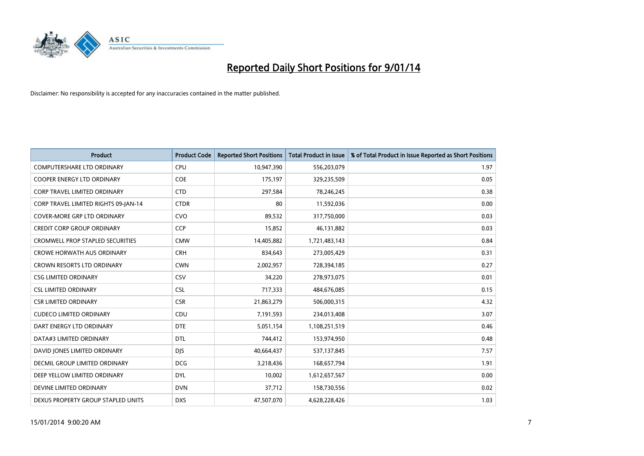

| <b>Product</b>                          | <b>Product Code</b> | <b>Reported Short Positions</b> | <b>Total Product in Issue</b> | % of Total Product in Issue Reported as Short Positions |
|-----------------------------------------|---------------------|---------------------------------|-------------------------------|---------------------------------------------------------|
| <b>COMPUTERSHARE LTD ORDINARY</b>       | <b>CPU</b>          | 10,947,390                      | 556,203,079                   | 1.97                                                    |
| <b>COOPER ENERGY LTD ORDINARY</b>       | <b>COE</b>          | 175,197                         | 329,235,509                   | 0.05                                                    |
| <b>CORP TRAVEL LIMITED ORDINARY</b>     | <b>CTD</b>          | 297,584                         | 78,246,245                    | 0.38                                                    |
| CORP TRAVEL LIMITED RIGHTS 09-JAN-14    | <b>CTDR</b>         | 80                              | 11,592,036                    | 0.00                                                    |
| <b>COVER-MORE GRP LTD ORDINARY</b>      | <b>CVO</b>          | 89,532                          | 317,750,000                   | 0.03                                                    |
| <b>CREDIT CORP GROUP ORDINARY</b>       | CCP                 | 15,852                          | 46,131,882                    | 0.03                                                    |
| <b>CROMWELL PROP STAPLED SECURITIES</b> | <b>CMW</b>          | 14,405,882                      | 1,721,483,143                 | 0.84                                                    |
| <b>CROWE HORWATH AUS ORDINARY</b>       | <b>CRH</b>          | 834,643                         | 273,005,429                   | 0.31                                                    |
| <b>CROWN RESORTS LTD ORDINARY</b>       | <b>CWN</b>          | 2,002,957                       | 728,394,185                   | 0.27                                                    |
| <b>CSG LIMITED ORDINARY</b>             | <b>CSV</b>          | 34,220                          | 278,973,075                   | 0.01                                                    |
| <b>CSL LIMITED ORDINARY</b>             | <b>CSL</b>          | 717,333                         | 484,676,085                   | 0.15                                                    |
| <b>CSR LIMITED ORDINARY</b>             | <b>CSR</b>          | 21,863,279                      | 506,000,315                   | 4.32                                                    |
| <b>CUDECO LIMITED ORDINARY</b>          | CDU                 | 7,191,593                       | 234,013,408                   | 3.07                                                    |
| DART ENERGY LTD ORDINARY                | <b>DTE</b>          | 5,051,154                       | 1,108,251,519                 | 0.46                                                    |
| DATA#3 LIMITED ORDINARY                 | <b>DTL</b>          | 744,412                         | 153,974,950                   | 0.48                                                    |
| DAVID JONES LIMITED ORDINARY            | <b>DJS</b>          | 40,664,437                      | 537,137,845                   | 7.57                                                    |
| DECMIL GROUP LIMITED ORDINARY           | <b>DCG</b>          | 3,218,436                       | 168,657,794                   | 1.91                                                    |
| DEEP YELLOW LIMITED ORDINARY            | <b>DYL</b>          | 10,002                          | 1,612,657,567                 | 0.00                                                    |
| DEVINE LIMITED ORDINARY                 | <b>DVN</b>          | 37,712                          | 158,730,556                   | 0.02                                                    |
| DEXUS PROPERTY GROUP STAPLED UNITS      | <b>DXS</b>          | 47,507,070                      | 4,628,228,426                 | 1.03                                                    |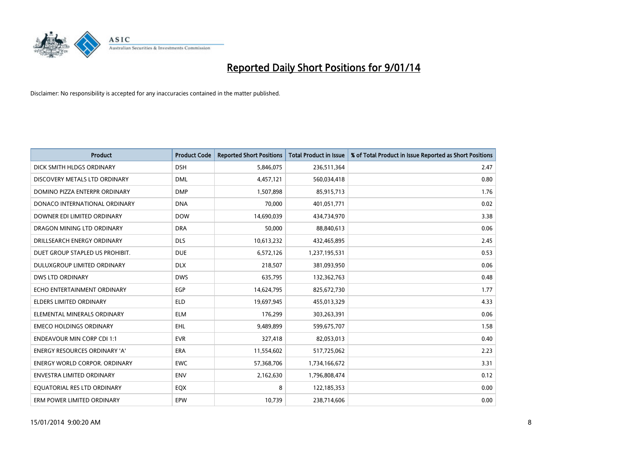

| <b>Product</b>                       | <b>Product Code</b> | <b>Reported Short Positions</b> | <b>Total Product in Issue</b> | % of Total Product in Issue Reported as Short Positions |
|--------------------------------------|---------------------|---------------------------------|-------------------------------|---------------------------------------------------------|
| DICK SMITH HLDGS ORDINARY            | <b>DSH</b>          | 5,846,075                       | 236,511,364                   | 2.47                                                    |
| DISCOVERY METALS LTD ORDINARY        | <b>DML</b>          | 4,457,121                       | 560,034,418                   | 0.80                                                    |
| DOMINO PIZZA ENTERPR ORDINARY        | <b>DMP</b>          | 1,507,898                       | 85,915,713                    | 1.76                                                    |
| DONACO INTERNATIONAL ORDINARY        | <b>DNA</b>          | 70,000                          | 401,051,771                   | 0.02                                                    |
| DOWNER EDI LIMITED ORDINARY          | <b>DOW</b>          | 14,690,039                      | 434,734,970                   | 3.38                                                    |
| DRAGON MINING LTD ORDINARY           | <b>DRA</b>          | 50,000                          | 88,840,613                    | 0.06                                                    |
| DRILLSEARCH ENERGY ORDINARY          | <b>DLS</b>          | 10,613,232                      | 432,465,895                   | 2.45                                                    |
| DUET GROUP STAPLED US PROHIBIT.      | <b>DUE</b>          | 6,572,126                       | 1,237,195,531                 | 0.53                                                    |
| DULUXGROUP LIMITED ORDINARY          | <b>DLX</b>          | 218,507                         | 381,093,950                   | 0.06                                                    |
| DWS LTD ORDINARY                     | <b>DWS</b>          | 635,795                         | 132,362,763                   | 0.48                                                    |
| ECHO ENTERTAINMENT ORDINARY          | <b>EGP</b>          | 14,624,795                      | 825,672,730                   | 1.77                                                    |
| <b>ELDERS LIMITED ORDINARY</b>       | <b>ELD</b>          | 19,697,945                      | 455,013,329                   | 4.33                                                    |
| ELEMENTAL MINERALS ORDINARY          | <b>ELM</b>          | 176,299                         | 303,263,391                   | 0.06                                                    |
| <b>EMECO HOLDINGS ORDINARY</b>       | EHL                 | 9,489,899                       | 599,675,707                   | 1.58                                                    |
| <b>ENDEAVOUR MIN CORP CDI 1:1</b>    | <b>EVR</b>          | 327,418                         | 82,053,013                    | 0.40                                                    |
| <b>ENERGY RESOURCES ORDINARY 'A'</b> | ERA                 | 11,554,602                      | 517,725,062                   | 2.23                                                    |
| <b>ENERGY WORLD CORPOR. ORDINARY</b> | <b>EWC</b>          | 57,368,706                      | 1,734,166,672                 | 3.31                                                    |
| ENVESTRA LIMITED ORDINARY            | <b>ENV</b>          | 2,162,630                       | 1,796,808,474                 | 0.12                                                    |
| EQUATORIAL RES LTD ORDINARY          | EQX                 | 8                               | 122,185,353                   | 0.00                                                    |
| ERM POWER LIMITED ORDINARY           | EPW                 | 10,739                          | 238,714,606                   | 0.00                                                    |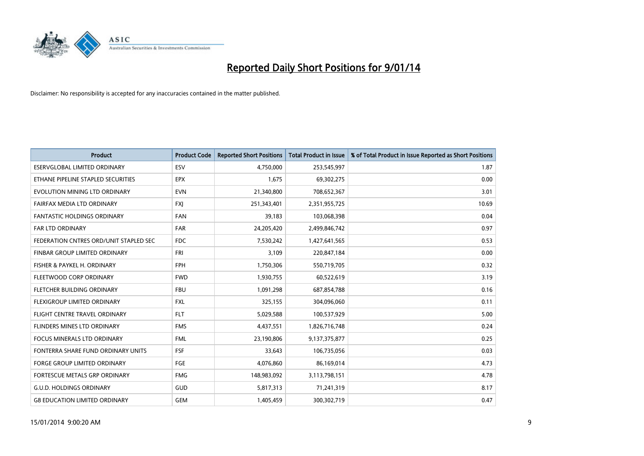

| <b>Product</b>                         | <b>Product Code</b> | <b>Reported Short Positions</b> | <b>Total Product in Issue</b> | % of Total Product in Issue Reported as Short Positions |
|----------------------------------------|---------------------|---------------------------------|-------------------------------|---------------------------------------------------------|
| <b>ESERVGLOBAL LIMITED ORDINARY</b>    | ESV                 | 4,750,000                       | 253,545,997                   | 1.87                                                    |
| ETHANE PIPELINE STAPLED SECURITIES     | <b>EPX</b>          | 1,675                           | 69,302,275                    | 0.00                                                    |
| EVOLUTION MINING LTD ORDINARY          | <b>EVN</b>          | 21,340,800                      | 708,652,367                   | 3.01                                                    |
| FAIRFAX MEDIA LTD ORDINARY             | FXJ                 | 251,343,401                     | 2,351,955,725                 | 10.69                                                   |
| <b>FANTASTIC HOLDINGS ORDINARY</b>     | <b>FAN</b>          | 39,183                          | 103,068,398                   | 0.04                                                    |
| <b>FAR LTD ORDINARY</b>                | <b>FAR</b>          | 24,205,420                      | 2,499,846,742                 | 0.97                                                    |
| FEDERATION CNTRES ORD/UNIT STAPLED SEC | FDC                 | 7,530,242                       | 1,427,641,565                 | 0.53                                                    |
| FINBAR GROUP LIMITED ORDINARY          | <b>FRI</b>          | 3,109                           | 220,847,184                   | 0.00                                                    |
| FISHER & PAYKEL H. ORDINARY            | <b>FPH</b>          | 1,750,306                       | 550,719,705                   | 0.32                                                    |
| FLEETWOOD CORP ORDINARY                | <b>FWD</b>          | 1,930,755                       | 60,522,619                    | 3.19                                                    |
| FLETCHER BUILDING ORDINARY             | <b>FBU</b>          | 1,091,298                       | 687,854,788                   | 0.16                                                    |
| FLEXIGROUP LIMITED ORDINARY            | FXL                 | 325,155                         | 304,096,060                   | 0.11                                                    |
| FLIGHT CENTRE TRAVEL ORDINARY          | <b>FLT</b>          | 5,029,588                       | 100,537,929                   | 5.00                                                    |
| <b>FLINDERS MINES LTD ORDINARY</b>     | <b>FMS</b>          | 4,437,551                       | 1,826,716,748                 | 0.24                                                    |
| <b>FOCUS MINERALS LTD ORDINARY</b>     | <b>FML</b>          | 23,190,806                      | 9,137,375,877                 | 0.25                                                    |
| FONTERRA SHARE FUND ORDINARY UNITS     | <b>FSF</b>          | 33,643                          | 106,735,056                   | 0.03                                                    |
| FORGE GROUP LIMITED ORDINARY           | FGE                 | 4,076,860                       | 86,169,014                    | 4.73                                                    |
| FORTESCUE METALS GRP ORDINARY          | <b>FMG</b>          | 148,983,092                     | 3,113,798,151                 | 4.78                                                    |
| <b>G.U.D. HOLDINGS ORDINARY</b>        | GUD                 | 5,817,313                       | 71,241,319                    | 8.17                                                    |
| <b>G8 EDUCATION LIMITED ORDINARY</b>   | <b>GEM</b>          | 1,405,459                       | 300,302,719                   | 0.47                                                    |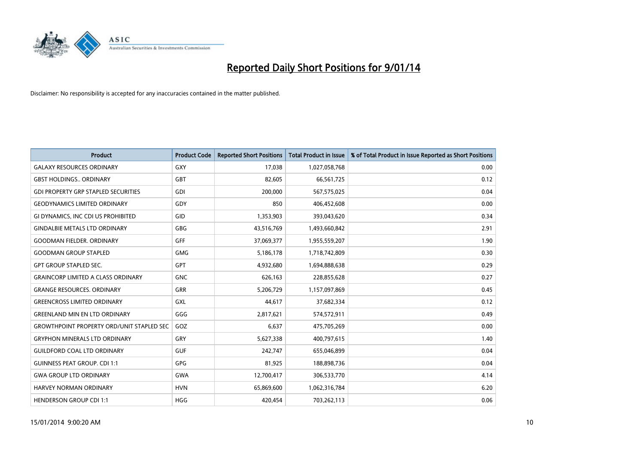

| <b>Product</b>                                   | <b>Product Code</b> | <b>Reported Short Positions</b> | <b>Total Product in Issue</b> | % of Total Product in Issue Reported as Short Positions |
|--------------------------------------------------|---------------------|---------------------------------|-------------------------------|---------------------------------------------------------|
| <b>GALAXY RESOURCES ORDINARY</b>                 | <b>GXY</b>          | 17,038                          | 1,027,058,768                 | 0.00                                                    |
| <b>GBST HOLDINGS ORDINARY</b>                    | <b>GBT</b>          | 82,605                          | 66,561,725                    | 0.12                                                    |
| <b>GDI PROPERTY GRP STAPLED SECURITIES</b>       | <b>GDI</b>          | 200,000                         | 567,575,025                   | 0.04                                                    |
| <b>GEODYNAMICS LIMITED ORDINARY</b>              | GDY                 | 850                             | 406,452,608                   | 0.00                                                    |
| GI DYNAMICS, INC CDI US PROHIBITED               | GID                 | 1,353,903                       | 393,043,620                   | 0.34                                                    |
| <b>GINDALBIE METALS LTD ORDINARY</b>             | <b>GBG</b>          | 43,516,769                      | 1,493,660,842                 | 2.91                                                    |
| <b>GOODMAN FIELDER, ORDINARY</b>                 | <b>GFF</b>          | 37,069,377                      | 1,955,559,207                 | 1.90                                                    |
| <b>GOODMAN GROUP STAPLED</b>                     | <b>GMG</b>          | 5,186,178                       | 1,718,742,809                 | 0.30                                                    |
| <b>GPT GROUP STAPLED SEC.</b>                    | <b>GPT</b>          | 4,932,680                       | 1,694,888,638                 | 0.29                                                    |
| <b>GRAINCORP LIMITED A CLASS ORDINARY</b>        | <b>GNC</b>          | 626,163                         | 228,855,628                   | 0.27                                                    |
| <b>GRANGE RESOURCES. ORDINARY</b>                | GRR                 | 5,206,729                       | 1,157,097,869                 | 0.45                                                    |
| <b>GREENCROSS LIMITED ORDINARY</b>               | <b>GXL</b>          | 44,617                          | 37,682,334                    | 0.12                                                    |
| <b>GREENLAND MIN EN LTD ORDINARY</b>             | GGG                 | 2,817,621                       | 574,572,911                   | 0.49                                                    |
| <b>GROWTHPOINT PROPERTY ORD/UNIT STAPLED SEC</b> | GOZ                 | 6,637                           | 475,705,269                   | 0.00                                                    |
| <b>GRYPHON MINERALS LTD ORDINARY</b>             | GRY                 | 5,627,338                       | 400,797,615                   | 1.40                                                    |
| <b>GUILDFORD COAL LTD ORDINARY</b>               | <b>GUF</b>          | 242,747                         | 655,046,899                   | 0.04                                                    |
| <b>GUINNESS PEAT GROUP. CDI 1:1</b>              | GPG                 | 81,925                          | 188,898,736                   | 0.04                                                    |
| <b>GWA GROUP LTD ORDINARY</b>                    | <b>GWA</b>          | 12,700,417                      | 306,533,770                   | 4.14                                                    |
| <b>HARVEY NORMAN ORDINARY</b>                    | <b>HVN</b>          | 65,869,600                      | 1,062,316,784                 | 6.20                                                    |
| <b>HENDERSON GROUP CDI 1:1</b>                   | <b>HGG</b>          | 420,454                         | 703,262,113                   | 0.06                                                    |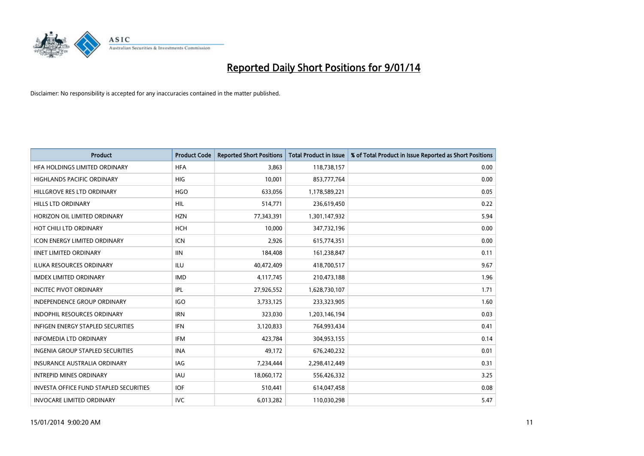

| <b>Product</b>                                | <b>Product Code</b> | <b>Reported Short Positions</b> | <b>Total Product in Issue</b> | % of Total Product in Issue Reported as Short Positions |
|-----------------------------------------------|---------------------|---------------------------------|-------------------------------|---------------------------------------------------------|
| HFA HOLDINGS LIMITED ORDINARY                 | <b>HFA</b>          | 3.863                           | 118,738,157                   | 0.00                                                    |
| <b>HIGHLANDS PACIFIC ORDINARY</b>             | <b>HIG</b>          | 10,001                          | 853,777,764                   | 0.00                                                    |
| HILLGROVE RES LTD ORDINARY                    | <b>HGO</b>          | 633,056                         | 1,178,589,221                 | 0.05                                                    |
| HILLS LTD ORDINARY                            | <b>HIL</b>          | 514,771                         | 236,619,450                   | 0.22                                                    |
| HORIZON OIL LIMITED ORDINARY                  | <b>HZN</b>          | 77,343,391                      | 1,301,147,932                 | 5.94                                                    |
| HOT CHILI LTD ORDINARY                        | <b>HCH</b>          | 10,000                          | 347,732,196                   | 0.00                                                    |
| <b>ICON ENERGY LIMITED ORDINARY</b>           | <b>ICN</b>          | 2,926                           | 615,774,351                   | 0.00                                                    |
| <b>IINET LIMITED ORDINARY</b>                 | <b>IIN</b>          | 184,408                         | 161,238,847                   | 0.11                                                    |
| <b>ILUKA RESOURCES ORDINARY</b>               | ILU                 | 40,472,409                      | 418,700,517                   | 9.67                                                    |
| <b>IMDEX LIMITED ORDINARY</b>                 | <b>IMD</b>          | 4,117,745                       | 210,473,188                   | 1.96                                                    |
| <b>INCITEC PIVOT ORDINARY</b>                 | IPL                 | 27,926,552                      | 1,628,730,107                 | 1.71                                                    |
| INDEPENDENCE GROUP ORDINARY                   | <b>IGO</b>          | 3,733,125                       | 233,323,905                   | 1.60                                                    |
| <b>INDOPHIL RESOURCES ORDINARY</b>            | <b>IRN</b>          | 323,030                         | 1,203,146,194                 | 0.03                                                    |
| <b>INFIGEN ENERGY STAPLED SECURITIES</b>      | <b>IFN</b>          | 3,120,833                       | 764,993,434                   | 0.41                                                    |
| <b>INFOMEDIA LTD ORDINARY</b>                 | <b>IFM</b>          | 423,784                         | 304,953,155                   | 0.14                                                    |
| INGENIA GROUP STAPLED SECURITIES              | <b>INA</b>          | 49,172                          | 676,240,232                   | 0.01                                                    |
| INSURANCE AUSTRALIA ORDINARY                  | IAG                 | 7,234,444                       | 2,298,412,449                 | 0.31                                                    |
| <b>INTREPID MINES ORDINARY</b>                | <b>IAU</b>          | 18,060,172                      | 556,426,332                   | 3.25                                                    |
| <b>INVESTA OFFICE FUND STAPLED SECURITIES</b> | <b>IOF</b>          | 510,441                         | 614,047,458                   | 0.08                                                    |
| <b>INVOCARE LIMITED ORDINARY</b>              | <b>IVC</b>          | 6,013,282                       | 110,030,298                   | 5.47                                                    |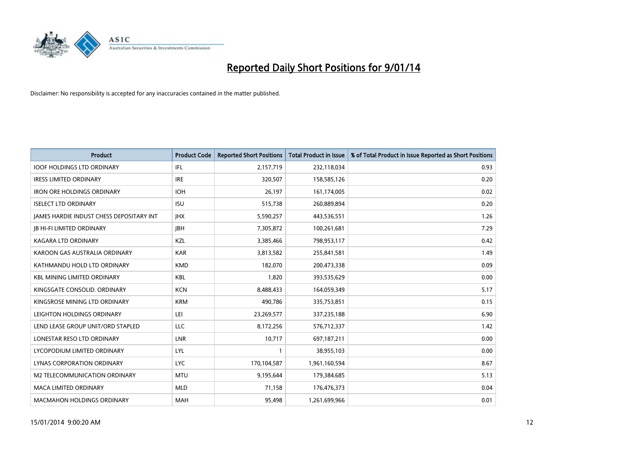

| <b>Product</b>                                  | <b>Product Code</b> | <b>Reported Short Positions</b> | <b>Total Product in Issue</b> | % of Total Product in Issue Reported as Short Positions |
|-------------------------------------------------|---------------------|---------------------------------|-------------------------------|---------------------------------------------------------|
| <b>IOOF HOLDINGS LTD ORDINARY</b>               | IFL                 | 2,157,719                       | 232,118,034                   | 0.93                                                    |
| <b>IRESS LIMITED ORDINARY</b>                   | <b>IRE</b>          | 320,507                         | 158,585,126                   | 0.20                                                    |
| <b>IRON ORE HOLDINGS ORDINARY</b>               | <b>IOH</b>          | 26.197                          | 161,174,005                   | 0.02                                                    |
| <b>ISELECT LTD ORDINARY</b>                     | <b>ISU</b>          | 515,738                         | 260,889,894                   | 0.20                                                    |
| <b>JAMES HARDIE INDUST CHESS DEPOSITARY INT</b> | <b>IHX</b>          | 5,590,257                       | 443,536,551                   | 1.26                                                    |
| <b>JB HI-FI LIMITED ORDINARY</b>                | <b>IBH</b>          | 7,305,872                       | 100,261,681                   | 7.29                                                    |
| <b>KAGARA LTD ORDINARY</b>                      | KZL                 | 3,385,466                       | 798,953,117                   | 0.42                                                    |
| KAROON GAS AUSTRALIA ORDINARY                   | <b>KAR</b>          | 3,813,582                       | 255,841,581                   | 1.49                                                    |
| KATHMANDU HOLD LTD ORDINARY                     | <b>KMD</b>          | 182,070                         | 200,473,338                   | 0.09                                                    |
| <b>KBL MINING LIMITED ORDINARY</b>              | <b>KBL</b>          | 1,820                           | 393,535,629                   | 0.00                                                    |
| KINGSGATE CONSOLID. ORDINARY                    | <b>KCN</b>          | 8,488,433                       | 164,059,349                   | 5.17                                                    |
| KINGSROSE MINING LTD ORDINARY                   | <b>KRM</b>          | 490,786                         | 335,753,851                   | 0.15                                                    |
| LEIGHTON HOLDINGS ORDINARY                      | LEI                 | 23,269,577                      | 337,235,188                   | 6.90                                                    |
| LEND LEASE GROUP UNIT/ORD STAPLED               | LLC                 | 8,172,256                       | 576,712,337                   | 1.42                                                    |
| LONESTAR RESO LTD ORDINARY                      | LNR                 | 10,717                          | 697,187,211                   | 0.00                                                    |
| LYCOPODIUM LIMITED ORDINARY                     | LYL                 |                                 | 38,955,103                    | 0.00                                                    |
| LYNAS CORPORATION ORDINARY                      | <b>LYC</b>          | 170,104,587                     | 1,961,160,594                 | 8.67                                                    |
| M2 TELECOMMUNICATION ORDINARY                   | <b>MTU</b>          | 9,195,644                       | 179,384,685                   | 5.13                                                    |
| <b>MACA LIMITED ORDINARY</b>                    | <b>MLD</b>          | 71,158                          | 176,476,373                   | 0.04                                                    |
| <b>MACMAHON HOLDINGS ORDINARY</b>               | <b>MAH</b>          | 95,498                          | 1,261,699,966                 | 0.01                                                    |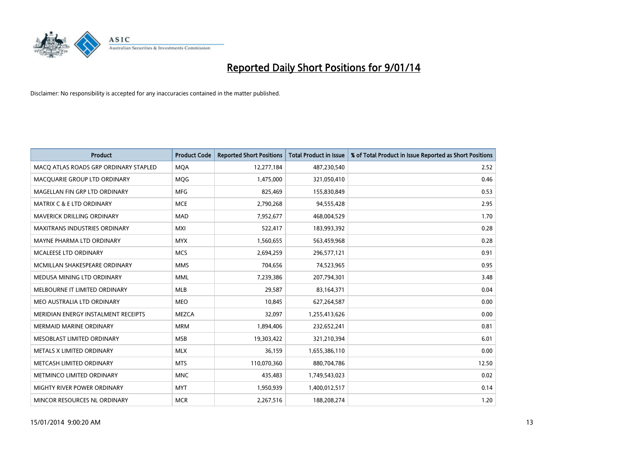

| <b>Product</b>                        | <b>Product Code</b> | <b>Reported Short Positions</b> | <b>Total Product in Issue</b> | % of Total Product in Issue Reported as Short Positions |
|---------------------------------------|---------------------|---------------------------------|-------------------------------|---------------------------------------------------------|
| MACO ATLAS ROADS GRP ORDINARY STAPLED | <b>MQA</b>          | 12,277,184                      | 487,230,540                   | 2.52                                                    |
| MACQUARIE GROUP LTD ORDINARY          | <b>MOG</b>          | 1,475,000                       | 321,050,410                   | 0.46                                                    |
| MAGELLAN FIN GRP LTD ORDINARY         | <b>MFG</b>          | 825,469                         | 155,830,849                   | 0.53                                                    |
| <b>MATRIX C &amp; E LTD ORDINARY</b>  | <b>MCE</b>          | 2,790,268                       | 94,555,428                    | 2.95                                                    |
| <b>MAVERICK DRILLING ORDINARY</b>     | <b>MAD</b>          | 7,952,677                       | 468,004,529                   | 1.70                                                    |
| <b>MAXITRANS INDUSTRIES ORDINARY</b>  | <b>MXI</b>          | 522,417                         | 183,993,392                   | 0.28                                                    |
| MAYNE PHARMA LTD ORDINARY             | <b>MYX</b>          | 1,560,655                       | 563,459,968                   | 0.28                                                    |
| MCALEESE LTD ORDINARY                 | <b>MCS</b>          | 2,694,259                       | 296,577,121                   | 0.91                                                    |
| MCMILLAN SHAKESPEARE ORDINARY         | <b>MMS</b>          | 704,656                         | 74,523,965                    | 0.95                                                    |
| MEDUSA MINING LTD ORDINARY            | <b>MML</b>          | 7,239,386                       | 207,794,301                   | 3.48                                                    |
| MELBOURNE IT LIMITED ORDINARY         | MLB                 | 29,587                          | 83,164,371                    | 0.04                                                    |
| MEO AUSTRALIA LTD ORDINARY            | <b>MEO</b>          | 10,845                          | 627,264,587                   | 0.00                                                    |
| MERIDIAN ENERGY INSTALMENT RECEIPTS   | <b>MEZCA</b>        | 32,097                          | 1,255,413,626                 | 0.00                                                    |
| <b>MERMAID MARINE ORDINARY</b>        | <b>MRM</b>          | 1,894,406                       | 232,652,241                   | 0.81                                                    |
| MESOBLAST LIMITED ORDINARY            | <b>MSB</b>          | 19,303,422                      | 321,210,394                   | 6.01                                                    |
| METALS X LIMITED ORDINARY             | <b>MLX</b>          | 36,159                          | 1,655,386,110                 | 0.00                                                    |
| METCASH LIMITED ORDINARY              | <b>MTS</b>          | 110,070,360                     | 880,704,786                   | 12.50                                                   |
| METMINCO LIMITED ORDINARY             | <b>MNC</b>          | 435,483                         | 1,749,543,023                 | 0.02                                                    |
| MIGHTY RIVER POWER ORDINARY           | <b>MYT</b>          | 1,950,939                       | 1,400,012,517                 | 0.14                                                    |
| MINCOR RESOURCES NL ORDINARY          | <b>MCR</b>          | 2,267,516                       | 188,208,274                   | 1.20                                                    |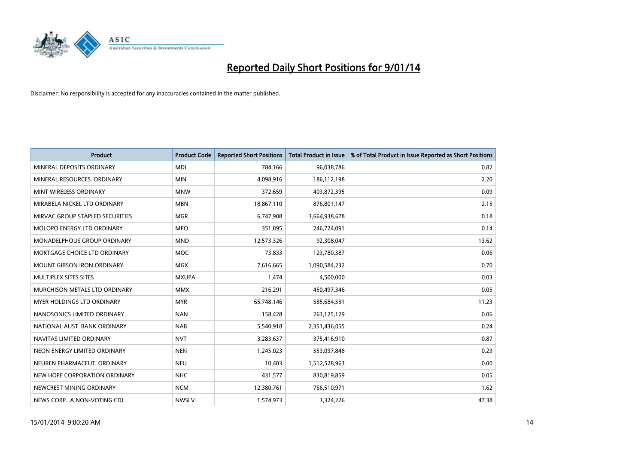

| <b>Product</b>                    | <b>Product Code</b> | <b>Reported Short Positions</b> | <b>Total Product in Issue</b> | % of Total Product in Issue Reported as Short Positions |
|-----------------------------------|---------------------|---------------------------------|-------------------------------|---------------------------------------------------------|
| MINERAL DEPOSITS ORDINARY         | <b>MDL</b>          | 784,166                         | 96,038,786                    | 0.82                                                    |
| MINERAL RESOURCES. ORDINARY       | <b>MIN</b>          | 4,098,916                       | 186,112,198                   | 2.20                                                    |
| MINT WIRELESS ORDINARY            | <b>MNW</b>          | 372,659                         | 403,872,395                   | 0.09                                                    |
| MIRABELA NICKEL LTD ORDINARY      | <b>MBN</b>          | 18,867,110                      | 876,801,147                   | 2.15                                                    |
| MIRVAC GROUP STAPLED SECURITIES   | <b>MGR</b>          | 6,747,908                       | 3,664,938,678                 | 0.18                                                    |
| MOLOPO ENERGY LTD ORDINARY        | <b>MPO</b>          | 351,895                         | 246,724,091                   | 0.14                                                    |
| MONADELPHOUS GROUP ORDINARY       | <b>MND</b>          | 12,573,326                      | 92,308,047                    | 13.62                                                   |
| MORTGAGE CHOICE LTD ORDINARY      | MOC                 | 73,833                          | 123,780,387                   | 0.06                                                    |
| <b>MOUNT GIBSON IRON ORDINARY</b> | <b>MGX</b>          | 7,616,665                       | 1,090,584,232                 | 0.70                                                    |
| MULTIPLEX SITES SITES             | <b>MXUPA</b>        | 1,474                           | 4,500,000                     | 0.03                                                    |
| MURCHISON METALS LTD ORDINARY     | <b>MMX</b>          | 216,291                         | 450,497,346                   | 0.05                                                    |
| MYER HOLDINGS LTD ORDINARY        | <b>MYR</b>          | 65,748,146                      | 585,684,551                   | 11.23                                                   |
| NANOSONICS LIMITED ORDINARY       | <b>NAN</b>          | 158,428                         | 263,125,129                   | 0.06                                                    |
| NATIONAL AUST, BANK ORDINARY      | <b>NAB</b>          | 5,540,918                       | 2,351,436,055                 | 0.24                                                    |
| NAVITAS LIMITED ORDINARY          | <b>NVT</b>          | 3,283,637                       | 375,416,910                   | 0.87                                                    |
| NEON ENERGY LIMITED ORDINARY      | <b>NEN</b>          | 1,245,023                       | 553,037,848                   | 0.23                                                    |
| NEUREN PHARMACEUT. ORDINARY       | <b>NEU</b>          | 10,403                          | 1,512,528,963                 | 0.00                                                    |
| NEW HOPE CORPORATION ORDINARY     | <b>NHC</b>          | 431,577                         | 830,819,859                   | 0.05                                                    |
| NEWCREST MINING ORDINARY          | <b>NCM</b>          | 12,380,761                      | 766,510,971                   | 1.62                                                    |
| NEWS CORP A NON-VOTING CDI        | <b>NWSLV</b>        | 1,574,973                       | 3,324,226                     | 47.38                                                   |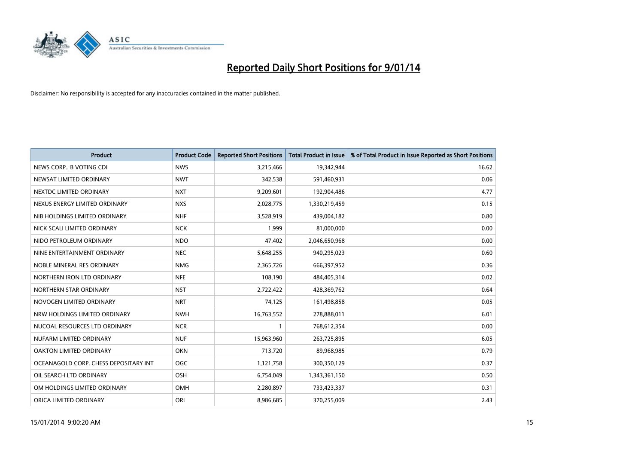

| <b>Product</b>                        | <b>Product Code</b> | <b>Reported Short Positions</b> | <b>Total Product in Issue</b> | % of Total Product in Issue Reported as Short Positions |
|---------------------------------------|---------------------|---------------------------------|-------------------------------|---------------------------------------------------------|
| NEWS CORP B VOTING CDI                | <b>NWS</b>          | 3,215,466                       | 19,342,944                    | 16.62                                                   |
| NEWSAT LIMITED ORDINARY               | <b>NWT</b>          | 342,538                         | 591,460,931                   | 0.06                                                    |
| NEXTDC LIMITED ORDINARY               | <b>NXT</b>          | 9,209,601                       | 192,904,486                   | 4.77                                                    |
| NEXUS ENERGY LIMITED ORDINARY         | <b>NXS</b>          | 2,028,775                       | 1,330,219,459                 | 0.15                                                    |
| NIB HOLDINGS LIMITED ORDINARY         | <b>NHF</b>          | 3,528,919                       | 439,004,182                   | 0.80                                                    |
| NICK SCALI LIMITED ORDINARY           | <b>NCK</b>          | 1,999                           | 81,000,000                    | 0.00                                                    |
| NIDO PETROLEUM ORDINARY               | <b>NDO</b>          | 47,402                          | 2,046,650,968                 | 0.00                                                    |
| NINE ENTERTAINMENT ORDINARY           | <b>NEC</b>          | 5,648,255                       | 940,295,023                   | 0.60                                                    |
| NOBLE MINERAL RES ORDINARY            | <b>NMG</b>          | 2,365,726                       | 666,397,952                   | 0.36                                                    |
| NORTHERN IRON LTD ORDINARY            | <b>NFE</b>          | 108,190                         | 484,405,314                   | 0.02                                                    |
| NORTHERN STAR ORDINARY                | <b>NST</b>          | 2,722,422                       | 428,369,762                   | 0.64                                                    |
| NOVOGEN LIMITED ORDINARY              | <b>NRT</b>          | 74,125                          | 161,498,858                   | 0.05                                                    |
| NRW HOLDINGS LIMITED ORDINARY         | <b>NWH</b>          | 16,763,552                      | 278,888,011                   | 6.01                                                    |
| NUCOAL RESOURCES LTD ORDINARY         | <b>NCR</b>          | $\mathbf{1}$                    | 768,612,354                   | 0.00                                                    |
| NUFARM LIMITED ORDINARY               | <b>NUF</b>          | 15,963,960                      | 263,725,895                   | 6.05                                                    |
| OAKTON LIMITED ORDINARY               | <b>OKN</b>          | 713,720                         | 89,968,985                    | 0.79                                                    |
| OCEANAGOLD CORP. CHESS DEPOSITARY INT | <b>OGC</b>          | 1,121,758                       | 300,350,129                   | 0.37                                                    |
| OIL SEARCH LTD ORDINARY               | OSH                 | 6,754,049                       | 1,343,361,150                 | 0.50                                                    |
| OM HOLDINGS LIMITED ORDINARY          | OMH                 | 2,280,897                       | 733,423,337                   | 0.31                                                    |
| ORICA LIMITED ORDINARY                | ORI                 | 8,986,685                       | 370,255,009                   | 2.43                                                    |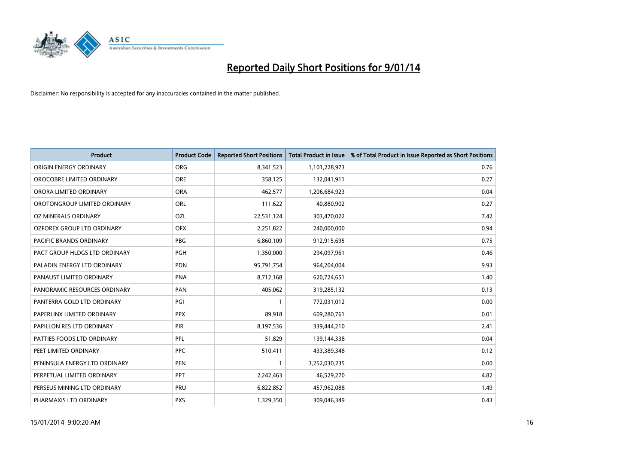

| <b>Product</b>                 | <b>Product Code</b> | <b>Reported Short Positions</b> | <b>Total Product in Issue</b> | % of Total Product in Issue Reported as Short Positions |
|--------------------------------|---------------------|---------------------------------|-------------------------------|---------------------------------------------------------|
| ORIGIN ENERGY ORDINARY         | <b>ORG</b>          | 8,341,523                       | 1,101,228,973                 | 0.76                                                    |
| OROCOBRE LIMITED ORDINARY      | <b>ORE</b>          | 358,125                         | 132,041,911                   | 0.27                                                    |
| ORORA LIMITED ORDINARY         | <b>ORA</b>          | 462,577                         | 1,206,684,923                 | 0.04                                                    |
| OROTONGROUP LIMITED ORDINARY   | ORL                 | 111,622                         | 40,880,902                    | 0.27                                                    |
| OZ MINERALS ORDINARY           | <b>OZL</b>          | 22,531,124                      | 303,470,022                   | 7.42                                                    |
| OZFOREX GROUP LTD ORDINARY     | <b>OFX</b>          | 2,251,822                       | 240,000,000                   | 0.94                                                    |
| <b>PACIFIC BRANDS ORDINARY</b> | <b>PBG</b>          | 6,860,109                       | 912,915,695                   | 0.75                                                    |
| PACT GROUP HLDGS LTD ORDINARY  | <b>PGH</b>          | 1,350,000                       | 294,097,961                   | 0.46                                                    |
| PALADIN ENERGY LTD ORDINARY    | <b>PDN</b>          | 95,791,754                      | 964,204,004                   | 9.93                                                    |
| PANAUST LIMITED ORDINARY       | <b>PNA</b>          | 8,712,168                       | 620,724,651                   | 1.40                                                    |
| PANORAMIC RESOURCES ORDINARY   | PAN                 | 405,062                         | 319,285,132                   | 0.13                                                    |
| PANTERRA GOLD LTD ORDINARY     | PGI                 | $\mathbf{1}$                    | 772,031,012                   | 0.00                                                    |
| PAPERLINX LIMITED ORDINARY     | <b>PPX</b>          | 89,918                          | 609,280,761                   | 0.01                                                    |
| PAPILLON RES LTD ORDINARY      | <b>PIR</b>          | 8,197,536                       | 339,444,210                   | 2.41                                                    |
| PATTIES FOODS LTD ORDINARY     | PFL                 | 51,829                          | 139,144,338                   | 0.04                                                    |
| PEET LIMITED ORDINARY          | <b>PPC</b>          | 510,411                         | 433,389,348                   | 0.12                                                    |
| PENINSULA ENERGY LTD ORDINARY  | <b>PEN</b>          | $\mathbf{1}$                    | 3,252,030,235                 | 0.00                                                    |
| PERPETUAL LIMITED ORDINARY     | PPT                 | 2,242,463                       | 46,529,270                    | 4.82                                                    |
| PERSEUS MINING LTD ORDINARY    | PRU                 | 6,822,852                       | 457,962,088                   | 1.49                                                    |
| PHARMAXIS LTD ORDINARY         | <b>PXS</b>          | 1,329,350                       | 309,046,349                   | 0.43                                                    |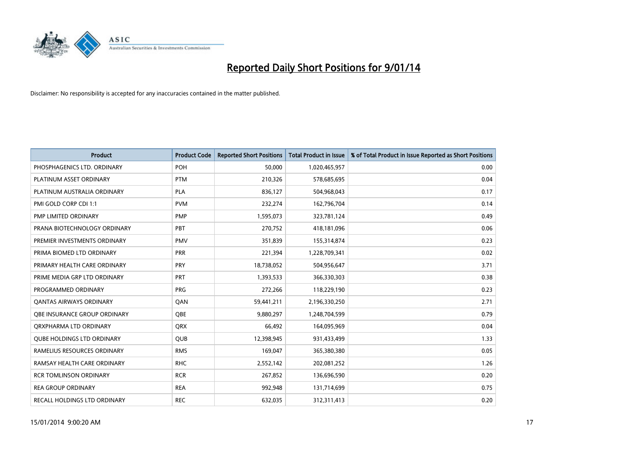

| <b>Product</b>                    | <b>Product Code</b> | <b>Reported Short Positions</b> | <b>Total Product in Issue</b> | % of Total Product in Issue Reported as Short Positions |
|-----------------------------------|---------------------|---------------------------------|-------------------------------|---------------------------------------------------------|
| PHOSPHAGENICS LTD. ORDINARY       | <b>POH</b>          | 50,000                          | 1,020,465,957                 | 0.00                                                    |
| PLATINUM ASSET ORDINARY           | <b>PTM</b>          | 210,326                         | 578,685,695                   | 0.04                                                    |
| PLATINUM AUSTRALIA ORDINARY       | <b>PLA</b>          | 836,127                         | 504,968,043                   | 0.17                                                    |
| PMI GOLD CORP CDI 1:1             | <b>PVM</b>          | 232,274                         | 162,796,704                   | 0.14                                                    |
| PMP LIMITED ORDINARY              | <b>PMP</b>          | 1,595,073                       | 323,781,124                   | 0.49                                                    |
| PRANA BIOTECHNOLOGY ORDINARY      | PBT                 | 270,752                         | 418,181,096                   | 0.06                                                    |
| PREMIER INVESTMENTS ORDINARY      | <b>PMV</b>          | 351,839                         | 155,314,874                   | 0.23                                                    |
| PRIMA BIOMED LTD ORDINARY         | <b>PRR</b>          | 221,394                         | 1,228,709,341                 | 0.02                                                    |
| PRIMARY HEALTH CARE ORDINARY      | <b>PRY</b>          | 18,738,052                      | 504,956,647                   | 3.71                                                    |
| PRIME MEDIA GRP LTD ORDINARY      | <b>PRT</b>          | 1,393,533                       | 366,330,303                   | 0.38                                                    |
| PROGRAMMED ORDINARY               | <b>PRG</b>          | 272,266                         | 118,229,190                   | 0.23                                                    |
| <b>QANTAS AIRWAYS ORDINARY</b>    | QAN                 | 59,441,211                      | 2,196,330,250                 | 2.71                                                    |
| OBE INSURANCE GROUP ORDINARY      | <b>OBE</b>          | 9,880,297                       | 1,248,704,599                 | 0.79                                                    |
| ORXPHARMA LTD ORDINARY            | <b>QRX</b>          | 66,492                          | 164,095,969                   | 0.04                                                    |
| <b>QUBE HOLDINGS LTD ORDINARY</b> | QUB                 | 12,398,945                      | 931,433,499                   | 1.33                                                    |
| RAMELIUS RESOURCES ORDINARY       | <b>RMS</b>          | 169,047                         | 365,380,380                   | 0.05                                                    |
| RAMSAY HEALTH CARE ORDINARY       | <b>RHC</b>          | 2,552,142                       | 202,081,252                   | 1.26                                                    |
| <b>RCR TOMLINSON ORDINARY</b>     | <b>RCR</b>          | 267,852                         | 136,696,590                   | 0.20                                                    |
| <b>REA GROUP ORDINARY</b>         | <b>REA</b>          | 992,948                         | 131,714,699                   | 0.75                                                    |
| RECALL HOLDINGS LTD ORDINARY      | <b>REC</b>          | 632,035                         | 312,311,413                   | 0.20                                                    |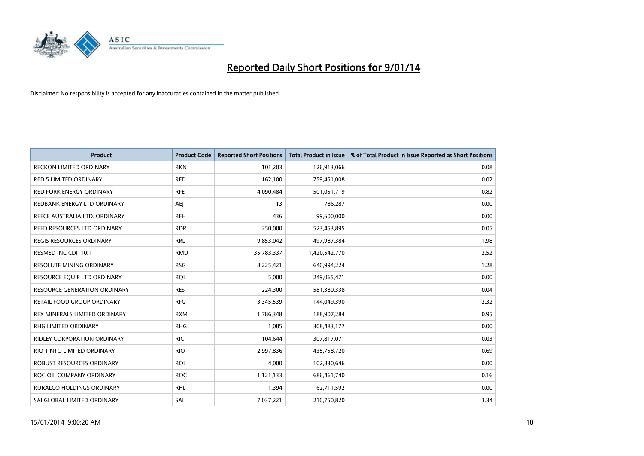

| <b>Product</b>                      | <b>Product Code</b> | <b>Reported Short Positions</b> | <b>Total Product in Issue</b> | % of Total Product in Issue Reported as Short Positions |
|-------------------------------------|---------------------|---------------------------------|-------------------------------|---------------------------------------------------------|
| <b>RECKON LIMITED ORDINARY</b>      | <b>RKN</b>          | 101,203                         | 126,913,066                   | 0.08                                                    |
| <b>RED 5 LIMITED ORDINARY</b>       | <b>RED</b>          | 162,100                         | 759,451,008                   | 0.02                                                    |
| <b>RED FORK ENERGY ORDINARY</b>     | <b>RFE</b>          | 4,090,484                       | 501,051,719                   | 0.82                                                    |
| REDBANK ENERGY LTD ORDINARY         | <b>AEJ</b>          | 13                              | 786,287                       | 0.00                                                    |
| REECE AUSTRALIA LTD. ORDINARY       | <b>REH</b>          | 436                             | 99,600,000                    | 0.00                                                    |
| REED RESOURCES LTD ORDINARY         | <b>RDR</b>          | 250,000                         | 523,453,895                   | 0.05                                                    |
| <b>REGIS RESOURCES ORDINARY</b>     | <b>RRL</b>          | 9,853,042                       | 497,987,384                   | 1.98                                                    |
| RESMED INC CDI 10:1                 | <b>RMD</b>          | 35,783,337                      | 1,420,542,770                 | 2.52                                                    |
| <b>RESOLUTE MINING ORDINARY</b>     | <b>RSG</b>          | 8,225,421                       | 640,994,224                   | 1.28                                                    |
| RESOURCE EQUIP LTD ORDINARY         | <b>RQL</b>          | 5,000                           | 249,065,471                   | 0.00                                                    |
| <b>RESOURCE GENERATION ORDINARY</b> | <b>RES</b>          | 224,300                         | 581,380,338                   | 0.04                                                    |
| RETAIL FOOD GROUP ORDINARY          | <b>RFG</b>          | 3,345,539                       | 144,049,390                   | 2.32                                                    |
| REX MINERALS LIMITED ORDINARY       | <b>RXM</b>          | 1,786,348                       | 188,907,284                   | 0.95                                                    |
| <b>RHG LIMITED ORDINARY</b>         | <b>RHG</b>          | 1,085                           | 308,483,177                   | 0.00                                                    |
| <b>RIDLEY CORPORATION ORDINARY</b>  | <b>RIC</b>          | 104,644                         | 307,817,071                   | 0.03                                                    |
| RIO TINTO LIMITED ORDINARY          | <b>RIO</b>          | 2,997,836                       | 435,758,720                   | 0.69                                                    |
| ROBUST RESOURCES ORDINARY           | <b>ROL</b>          | 4,000                           | 102,830,646                   | 0.00                                                    |
| ROC OIL COMPANY ORDINARY            | <b>ROC</b>          | 1,121,133                       | 686,461,740                   | 0.16                                                    |
| <b>RURALCO HOLDINGS ORDINARY</b>    | <b>RHL</b>          | 1,394                           | 62,711,592                    | 0.00                                                    |
| SAI GLOBAL LIMITED ORDINARY         | SAI                 | 7,037,221                       | 210,750,820                   | 3.34                                                    |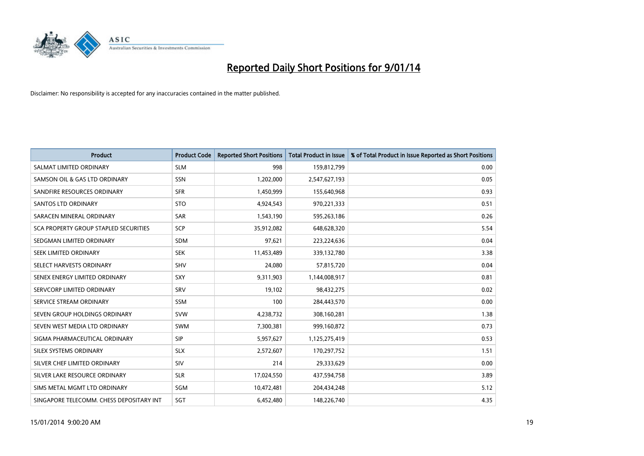

| <b>Product</b>                           | <b>Product Code</b> | <b>Reported Short Positions</b> | <b>Total Product in Issue</b> | % of Total Product in Issue Reported as Short Positions |
|------------------------------------------|---------------------|---------------------------------|-------------------------------|---------------------------------------------------------|
| SALMAT LIMITED ORDINARY                  | <b>SLM</b>          | 998                             | 159,812,799                   | 0.00                                                    |
| SAMSON OIL & GAS LTD ORDINARY            | <b>SSN</b>          | 1,202,000                       | 2,547,627,193                 | 0.05                                                    |
| SANDFIRE RESOURCES ORDINARY              | <b>SFR</b>          | 1,450,999                       | 155,640,968                   | 0.93                                                    |
| SANTOS LTD ORDINARY                      | <b>STO</b>          | 4,924,543                       | 970,221,333                   | 0.51                                                    |
| SARACEN MINERAL ORDINARY                 | <b>SAR</b>          | 1,543,190                       | 595,263,186                   | 0.26                                                    |
| SCA PROPERTY GROUP STAPLED SECURITIES    | <b>SCP</b>          | 35,912,082                      | 648,628,320                   | 5.54                                                    |
| SEDGMAN LIMITED ORDINARY                 | SDM                 | 97,621                          | 223,224,636                   | 0.04                                                    |
| SEEK LIMITED ORDINARY                    | <b>SEK</b>          | 11,453,489                      | 339,132,780                   | 3.38                                                    |
| SELECT HARVESTS ORDINARY                 | SHV                 | 24,080                          | 57,815,720                    | 0.04                                                    |
| SENEX ENERGY LIMITED ORDINARY            | SXY                 | 9,311,903                       | 1,144,008,917                 | 0.81                                                    |
| SERVCORP LIMITED ORDINARY                | SRV                 | 19,102                          | 98,432,275                    | 0.02                                                    |
| SERVICE STREAM ORDINARY                  | SSM                 | 100                             | 284,443,570                   | 0.00                                                    |
| SEVEN GROUP HOLDINGS ORDINARY            | <b>SVW</b>          | 4,238,732                       | 308,160,281                   | 1.38                                                    |
| SEVEN WEST MEDIA LTD ORDINARY            | <b>SWM</b>          | 7,300,381                       | 999,160,872                   | 0.73                                                    |
| SIGMA PHARMACEUTICAL ORDINARY            | <b>SIP</b>          | 5,957,627                       | 1,125,275,419                 | 0.53                                                    |
| SILEX SYSTEMS ORDINARY                   | <b>SLX</b>          | 2,572,607                       | 170,297,752                   | 1.51                                                    |
| SILVER CHEF LIMITED ORDINARY             | SIV                 | 214                             | 29,333,629                    | 0.00                                                    |
| SILVER LAKE RESOURCE ORDINARY            | <b>SLR</b>          | 17,024,550                      | 437,594,758                   | 3.89                                                    |
| SIMS METAL MGMT LTD ORDINARY             | SGM                 | 10,472,481                      | 204,434,248                   | 5.12                                                    |
| SINGAPORE TELECOMM. CHESS DEPOSITARY INT | SGT                 | 6,452,480                       | 148,226,740                   | 4.35                                                    |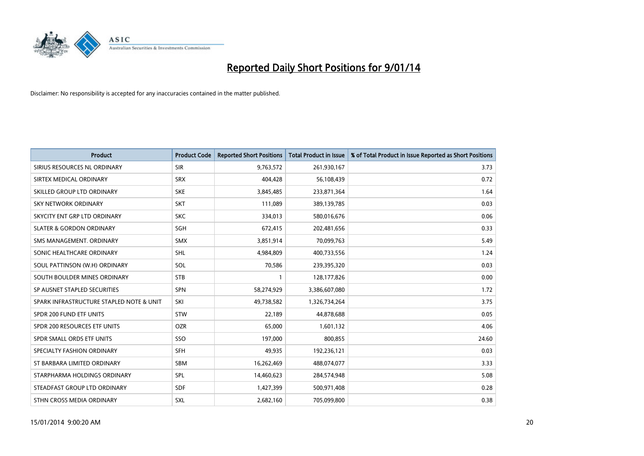

| <b>Product</b>                           | <b>Product Code</b> | <b>Reported Short Positions</b> | <b>Total Product in Issue</b> | % of Total Product in Issue Reported as Short Positions |
|------------------------------------------|---------------------|---------------------------------|-------------------------------|---------------------------------------------------------|
| SIRIUS RESOURCES NL ORDINARY             | <b>SIR</b>          | 9,763,572                       | 261,930,167                   | 3.73                                                    |
| SIRTEX MEDICAL ORDINARY                  | <b>SRX</b>          | 404,428                         | 56,108,439                    | 0.72                                                    |
| SKILLED GROUP LTD ORDINARY               | <b>SKE</b>          | 3,845,485                       | 233,871,364                   | 1.64                                                    |
| <b>SKY NETWORK ORDINARY</b>              | <b>SKT</b>          | 111,089                         | 389,139,785                   | 0.03                                                    |
| SKYCITY ENT GRP LTD ORDINARY             | <b>SKC</b>          | 334,013                         | 580,016,676                   | 0.06                                                    |
| <b>SLATER &amp; GORDON ORDINARY</b>      | SGH                 | 672,415                         | 202,481,656                   | 0.33                                                    |
| SMS MANAGEMENT, ORDINARY                 | <b>SMX</b>          | 3,851,914                       | 70,099,763                    | 5.49                                                    |
| SONIC HEALTHCARE ORDINARY                | <b>SHL</b>          | 4,984,809                       | 400,733,556                   | 1.24                                                    |
| SOUL PATTINSON (W.H) ORDINARY            | SOL                 | 70,586                          | 239,395,320                   | 0.03                                                    |
| SOUTH BOULDER MINES ORDINARY             | <b>STB</b>          | 1                               | 128,177,826                   | 0.00                                                    |
| SP AUSNET STAPLED SECURITIES             | SPN                 | 58,274,929                      | 3,386,607,080                 | 1.72                                                    |
| SPARK INFRASTRUCTURE STAPLED NOTE & UNIT | SKI                 | 49,738,582                      | 1,326,734,264                 | 3.75                                                    |
| SPDR 200 FUND ETF UNITS                  | <b>STW</b>          | 22,189                          | 44,878,688                    | 0.05                                                    |
| SPDR 200 RESOURCES ETF UNITS             | <b>OZR</b>          | 65,000                          | 1,601,132                     | 4.06                                                    |
| SPDR SMALL ORDS ETF UNITS                | SSO                 | 197,000                         | 800,855                       | 24.60                                                   |
| SPECIALTY FASHION ORDINARY               | SFH                 | 49,935                          | 192,236,121                   | 0.03                                                    |
| ST BARBARA LIMITED ORDINARY              | SBM                 | 16,262,469                      | 488,074,077                   | 3.33                                                    |
| STARPHARMA HOLDINGS ORDINARY             | <b>SPL</b>          | 14,460,623                      | 284,574,948                   | 5.08                                                    |
| STEADFAST GROUP LTD ORDINARY             | <b>SDF</b>          | 1,427,399                       | 500,971,408                   | 0.28                                                    |
| STHN CROSS MEDIA ORDINARY                | SXL                 | 2,682,160                       | 705,099,800                   | 0.38                                                    |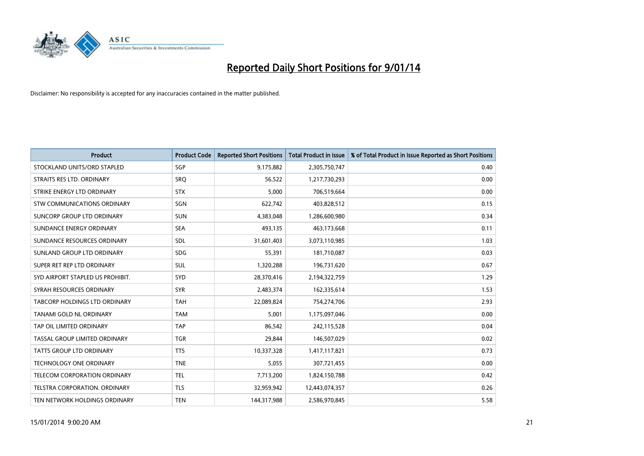

| <b>Product</b>                   | <b>Product Code</b> | <b>Reported Short Positions</b> | <b>Total Product in Issue</b> | % of Total Product in Issue Reported as Short Positions |
|----------------------------------|---------------------|---------------------------------|-------------------------------|---------------------------------------------------------|
| STOCKLAND UNITS/ORD STAPLED      | SGP                 | 9,175,882                       | 2,305,750,747                 | 0.40                                                    |
| STRAITS RES LTD. ORDINARY        | SRQ                 | 56,522                          | 1,217,730,293                 | 0.00                                                    |
| STRIKE ENERGY LTD ORDINARY       | <b>STX</b>          | 5,000                           | 706,519,664                   | 0.00                                                    |
| STW COMMUNICATIONS ORDINARY      | SGN                 | 622,742                         | 403,828,512                   | 0.15                                                    |
| SUNCORP GROUP LTD ORDINARY       | <b>SUN</b>          | 4,383,048                       | 1,286,600,980                 | 0.34                                                    |
| SUNDANCE ENERGY ORDINARY         | <b>SEA</b>          | 493,135                         | 463,173,668                   | 0.11                                                    |
| SUNDANCE RESOURCES ORDINARY      | <b>SDL</b>          | 31,601,403                      | 3,073,110,985                 | 1.03                                                    |
| SUNLAND GROUP LTD ORDINARY       | <b>SDG</b>          | 55,391                          | 181,710,087                   | 0.03                                                    |
| SUPER RET REP LTD ORDINARY       | <b>SUL</b>          | 1,320,288                       | 196,731,620                   | 0.67                                                    |
| SYD AIRPORT STAPLED US PROHIBIT. | SYD                 | 28,370,416                      | 2,194,322,759                 | 1.29                                                    |
| SYRAH RESOURCES ORDINARY         | <b>SYR</b>          | 2,483,374                       | 162,335,614                   | 1.53                                                    |
| TABCORP HOLDINGS LTD ORDINARY    | TAH                 | 22,089,824                      | 754,274,706                   | 2.93                                                    |
| TANAMI GOLD NL ORDINARY          | <b>TAM</b>          | 5,001                           | 1,175,097,046                 | 0.00                                                    |
| TAP OIL LIMITED ORDINARY         | <b>TAP</b>          | 86,542                          | 242,115,528                   | 0.04                                                    |
| TASSAL GROUP LIMITED ORDINARY    | <b>TGR</b>          | 29,844                          | 146,507,029                   | 0.02                                                    |
| <b>TATTS GROUP LTD ORDINARY</b>  | <b>TTS</b>          | 10,337,328                      | 1,417,117,821                 | 0.73                                                    |
| <b>TECHNOLOGY ONE ORDINARY</b>   | <b>TNE</b>          | 5,055                           | 307,721,455                   | 0.00                                                    |
| TELECOM CORPORATION ORDINARY     | <b>TEL</b>          | 7,713,200                       | 1,824,150,788                 | 0.42                                                    |
| TELSTRA CORPORATION, ORDINARY    | <b>TLS</b>          | 32,959,942                      | 12,443,074,357                | 0.26                                                    |
| TEN NETWORK HOLDINGS ORDINARY    | <b>TEN</b>          | 144,317,988                     | 2,586,970,845                 | 5.58                                                    |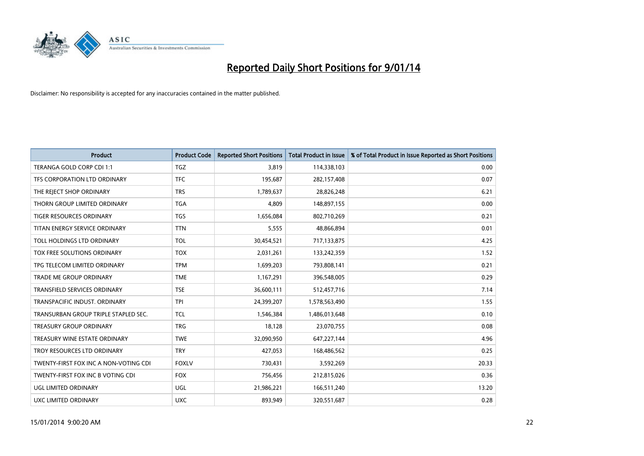

| <b>Product</b>                        | <b>Product Code</b> | <b>Reported Short Positions</b> | <b>Total Product in Issue</b> | % of Total Product in Issue Reported as Short Positions |
|---------------------------------------|---------------------|---------------------------------|-------------------------------|---------------------------------------------------------|
| TERANGA GOLD CORP CDI 1:1             | <b>TGZ</b>          | 3.819                           | 114,338,103                   | 0.00                                                    |
| TFS CORPORATION LTD ORDINARY          | <b>TFC</b>          | 195,687                         | 282,157,408                   | 0.07                                                    |
| THE REJECT SHOP ORDINARY              | <b>TRS</b>          | 1,789,637                       | 28,826,248                    | 6.21                                                    |
| THORN GROUP LIMITED ORDINARY          | <b>TGA</b>          | 4,809                           | 148,897,155                   | 0.00                                                    |
| <b>TIGER RESOURCES ORDINARY</b>       | TGS                 | 1,656,084                       | 802,710,269                   | 0.21                                                    |
| TITAN ENERGY SERVICE ORDINARY         | <b>TTN</b>          | 5,555                           | 48,866,894                    | 0.01                                                    |
| TOLL HOLDINGS LTD ORDINARY            | <b>TOL</b>          | 30,454,521                      | 717,133,875                   | 4.25                                                    |
| TOX FREE SOLUTIONS ORDINARY           | <b>TOX</b>          | 2,031,261                       | 133,242,359                   | 1.52                                                    |
| TPG TELECOM LIMITED ORDINARY          | <b>TPM</b>          | 1,699,203                       | 793,808,141                   | 0.21                                                    |
| <b>TRADE ME GROUP ORDINARY</b>        | <b>TME</b>          | 1,167,291                       | 396,548,005                   | 0.29                                                    |
| TRANSFIELD SERVICES ORDINARY          | <b>TSE</b>          | 36,600,111                      | 512,457,716                   | 7.14                                                    |
| TRANSPACIFIC INDUST, ORDINARY         | <b>TPI</b>          | 24,399,207                      | 1,578,563,490                 | 1.55                                                    |
| TRANSURBAN GROUP TRIPLE STAPLED SEC.  | TCL                 | 1,546,384                       | 1,486,013,648                 | 0.10                                                    |
| <b>TREASURY GROUP ORDINARY</b>        | <b>TRG</b>          | 18,128                          | 23,070,755                    | 0.08                                                    |
| TREASURY WINE ESTATE ORDINARY         | <b>TWE</b>          | 32,090,950                      | 647,227,144                   | 4.96                                                    |
| TROY RESOURCES LTD ORDINARY           | <b>TRY</b>          | 427,053                         | 168,486,562                   | 0.25                                                    |
| TWENTY-FIRST FOX INC A NON-VOTING CDI | <b>FOXLV</b>        | 730,431                         | 3,592,269                     | 20.33                                                   |
| TWENTY-FIRST FOX INC B VOTING CDI     | <b>FOX</b>          | 756,456                         | 212,815,026                   | 0.36                                                    |
| UGL LIMITED ORDINARY                  | UGL                 | 21,986,221                      | 166,511,240                   | 13.20                                                   |
| UXC LIMITED ORDINARY                  | <b>UXC</b>          | 893,949                         | 320,551,687                   | 0.28                                                    |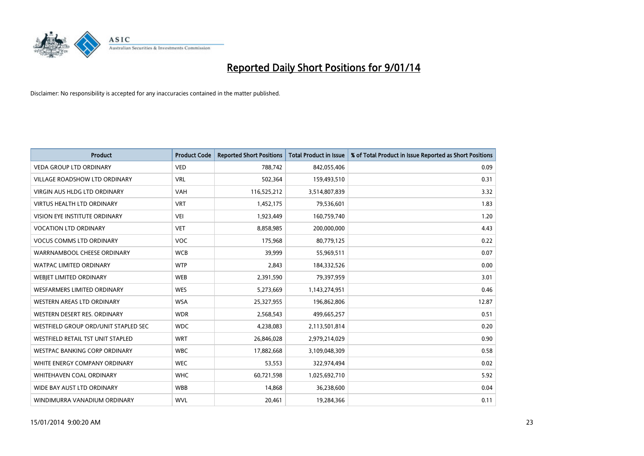

| <b>Product</b>                       | <b>Product Code</b> | <b>Reported Short Positions</b> | <b>Total Product in Issue</b> | % of Total Product in Issue Reported as Short Positions |
|--------------------------------------|---------------------|---------------------------------|-------------------------------|---------------------------------------------------------|
| <b>VEDA GROUP LTD ORDINARY</b>       | <b>VED</b>          | 788,742                         | 842,055,406                   | 0.09                                                    |
| <b>VILLAGE ROADSHOW LTD ORDINARY</b> | <b>VRL</b>          | 502,364                         | 159,493,510                   | 0.31                                                    |
| <b>VIRGIN AUS HLDG LTD ORDINARY</b>  | <b>VAH</b>          | 116,525,212                     | 3,514,807,839                 | 3.32                                                    |
| VIRTUS HEALTH LTD ORDINARY           | <b>VRT</b>          | 1,452,175                       | 79,536,601                    | 1.83                                                    |
| VISION EYE INSTITUTE ORDINARY        | <b>VEI</b>          | 1,923,449                       | 160,759,740                   | 1.20                                                    |
| <b>VOCATION LTD ORDINARY</b>         | <b>VET</b>          | 8,858,985                       | 200,000,000                   | 4.43                                                    |
| <b>VOCUS COMMS LTD ORDINARY</b>      | VOC                 | 175,968                         | 80,779,125                    | 0.22                                                    |
| WARRNAMBOOL CHEESE ORDINARY          | <b>WCB</b>          | 39,999                          | 55,969,511                    | 0.07                                                    |
| <b>WATPAC LIMITED ORDINARY</b>       | <b>WTP</b>          | 2,843                           | 184,332,526                   | 0.00                                                    |
| WEBIET LIMITED ORDINARY              | <b>WEB</b>          | 2,391,590                       | 79,397,959                    | 3.01                                                    |
| <b>WESFARMERS LIMITED ORDINARY</b>   | <b>WES</b>          | 5,273,669                       | 1,143,274,951                 | 0.46                                                    |
| <b>WESTERN AREAS LTD ORDINARY</b>    | <b>WSA</b>          | 25,327,955                      | 196,862,806                   | 12.87                                                   |
| WESTERN DESERT RES. ORDINARY         | <b>WDR</b>          | 2,568,543                       | 499,665,257                   | 0.51                                                    |
| WESTFIELD GROUP ORD/UNIT STAPLED SEC | <b>WDC</b>          | 4,238,083                       | 2,113,501,814                 | 0.20                                                    |
| WESTFIELD RETAIL TST UNIT STAPLED    | <b>WRT</b>          | 26,846,028                      | 2,979,214,029                 | 0.90                                                    |
| <b>WESTPAC BANKING CORP ORDINARY</b> | <b>WBC</b>          | 17,882,668                      | 3,109,048,309                 | 0.58                                                    |
| WHITE ENERGY COMPANY ORDINARY        | <b>WEC</b>          | 53,553                          | 322,974,494                   | 0.02                                                    |
| <b>WHITEHAVEN COAL ORDINARY</b>      | <b>WHC</b>          | 60,721,598                      | 1,025,692,710                 | 5.92                                                    |
| WIDE BAY AUST LTD ORDINARY           | <b>WBB</b>          | 14,868                          | 36,238,600                    | 0.04                                                    |
| WINDIMURRA VANADIUM ORDINARY         | <b>WVL</b>          | 20,461                          | 19,284,366                    | 0.11                                                    |